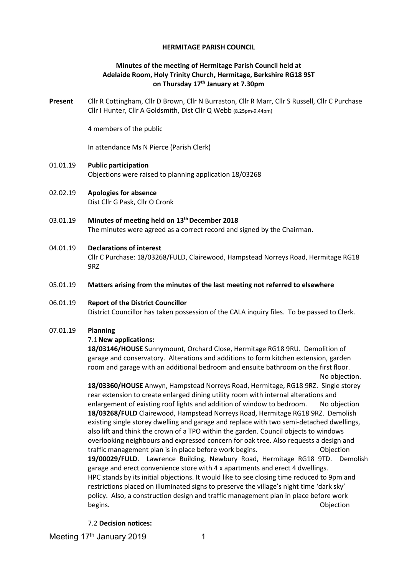#### **HERMITAGE PARISH COUNCIL**

## **Minutes of the meeting of Hermitage Parish Council held at Adelaide Room, Holy Trinity Church, Hermitage, Berkshire RG18 9ST on Thursday 17th January at 7.30pm**

**Present** Cllr R Cottingham, Cllr D Brown, Cllr N Burraston, Cllr R Marr, Cllr S Russell, Cllr C Purchase Cllr I Hunter, Cllr A Goldsmith, Dist Cllr Q Webb (8.25pm-9.44pm)

4 members of the public

In attendance Ms N Pierce (Parish Clerk)

- 01.01.19 **Public participation**  Objections were raised to planning application 18/03268
- 02.02.19 **Apologies for absence** Dist Cllr G Pask, Cllr O Cronk
- 03.01.19 **Minutes of meeting held on 13thDecember 2018** The minutes were agreed as a correct record and signed by the Chairman.
- 04.01.19 **Declarations of interest** Cllr C Purchase: 18/03268/FULD, Clairewood, Hampstead Norreys Road, Hermitage RG18 9RZ
- 05.01.19 **Matters arising from the minutes of the last meeting not referred to elsewhere**

# 06.01.19 **Report of the District Councillor** District Councillor has taken possession of the CALA inquiry files. To be passed to Clerk.

#### 07.01.19 **Planning**

#### 7.1**New applications:**

**18/03146/HOUSE** Sunnymount, Orchard Close, Hermitage RG18 9RU. Demolition of garage and conservatory. Alterations and additions to form kitchen extension, garden room and garage with an additional bedroom and ensuite bathroom on the first floor. No objection.

**18/03360/HOUSE** Anwyn, Hampstead Norreys Road, Hermitage, RG18 9RZ. Single storey rear extension to create enlarged dining utility room with internal alterations and enlargement of existing roof lights and addition of window to bedroom. No objection **18/03268/FULD** Clairewood, Hampstead Norreys Road, Hermitage RG18 9RZ. Demolish existing single storey dwelling and garage and replace with two semi-detached dwellings, also lift and think the crown of a TPO within the garden. Council objects to windows overlooking neighbours and expressed concern for oak tree. Also requests a design and traffic management plan is in place before work begins. Objection **19/00029/FULD**. Lawrence Building, Newbury Road, Hermitage RG18 9TD. Demolish garage and erect convenience store with 4 x apartments and erect 4 dwellings. HPC stands by its initial objections. It would like to see closing time reduced to 9pm and restrictions placed on illuminated signs to preserve the village's night time 'dark sky' policy. Also, a construction design and traffic management plan in place before work begins. **Objection** 

7.2 **Decision notices:**

Meeting 17<sup>th</sup> January 2019 1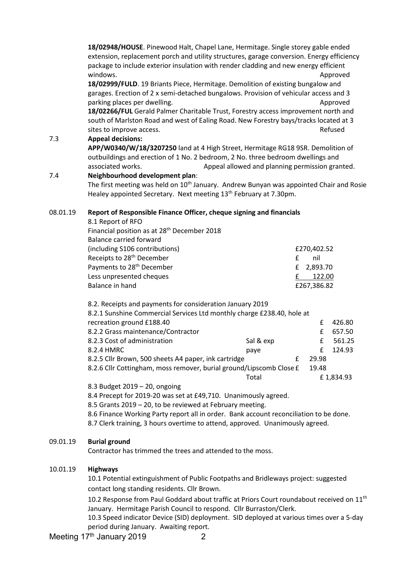|          | 18/02948/HOUSE. Pinewood Halt, Chapel Lane, Hermitage. Single storey gable ended<br>extension, replacement porch and utility structures, garage conversion. Energy efficiency<br>package to include exterior insulation with render cladding and new energy efficient<br>windows. |           |               | Approved |  |  |  |
|----------|-----------------------------------------------------------------------------------------------------------------------------------------------------------------------------------------------------------------------------------------------------------------------------------|-----------|---------------|----------|--|--|--|
|          | 18/02999/FULD. 19 Briants Piece, Hermitage. Demolition of existing bungalow and                                                                                                                                                                                                   |           |               |          |  |  |  |
|          | garages. Erection of 2 x semi-detached bungalows. Provision of vehicular access and 3                                                                                                                                                                                             |           |               |          |  |  |  |
|          | parking places per dwelling.                                                                                                                                                                                                                                                      |           |               | Approved |  |  |  |
|          | 18/02266/FUL Gerald Palmer Charitable Trust, Forestry access improvement north and                                                                                                                                                                                                |           |               |          |  |  |  |
|          | south of Marlston Road and west of Ealing Road. New Forestry bays/tracks located at 3                                                                                                                                                                                             |           |               |          |  |  |  |
|          | sites to improve access.                                                                                                                                                                                                                                                          |           |               | Refused  |  |  |  |
| 7.3      | <b>Appeal decisions:</b>                                                                                                                                                                                                                                                          |           |               |          |  |  |  |
|          | APP/W0340/W/18/3207250 land at 4 High Street, Hermitage RG18 9SR. Demolition of                                                                                                                                                                                                   |           |               |          |  |  |  |
|          | outbuildings and erection of 1 No. 2 bedroom, 2 No. three bedroom dwellings and<br>Appeal allowed and planning permission granted.                                                                                                                                                |           |               |          |  |  |  |
|          | associated works.                                                                                                                                                                                                                                                                 |           |               |          |  |  |  |
| 7.4      | Neighbourhood development plan:                                                                                                                                                                                                                                                   |           |               |          |  |  |  |
|          | The first meeting was held on 10 <sup>th</sup> January. Andrew Bunyan was appointed Chair and Rosie<br>Healey appointed Secretary. Next meeting 13 <sup>th</sup> February at 7.30pm.                                                                                              |           |               |          |  |  |  |
|          |                                                                                                                                                                                                                                                                                   |           |               |          |  |  |  |
| 08.01.19 | Report of Responsible Finance Officer, cheque signing and financials<br>8.1 Report of RFO                                                                                                                                                                                         |           |               |          |  |  |  |
|          | Financial position as at 28 <sup>th</sup> December 2018                                                                                                                                                                                                                           |           |               |          |  |  |  |
|          | <b>Balance carried forward</b>                                                                                                                                                                                                                                                    |           |               |          |  |  |  |
|          | (including S106 contributions)                                                                                                                                                                                                                                                    |           | £270,402.52   |          |  |  |  |
|          | Receipts to 28 <sup>th</sup> December                                                                                                                                                                                                                                             |           | £<br>nil      |          |  |  |  |
|          | Payments to 28 <sup>th</sup> December                                                                                                                                                                                                                                             |           | £<br>2,893.70 |          |  |  |  |
|          | Less unpresented cheques                                                                                                                                                                                                                                                          |           | 122.00<br>£   |          |  |  |  |
|          | Balance in hand                                                                                                                                                                                                                                                                   |           | £267,386.82   |          |  |  |  |
|          |                                                                                                                                                                                                                                                                                   |           |               |          |  |  |  |
|          | 8.2. Receipts and payments for consideration January 2019                                                                                                                                                                                                                         |           |               |          |  |  |  |
|          | 8.2.1 Sunshine Commercial Services Ltd monthly charge £238.40, hole at                                                                                                                                                                                                            |           |               |          |  |  |  |
|          | recreation ground £188.40                                                                                                                                                                                                                                                         |           | £             | 426.80   |  |  |  |
|          | 8.2.2 Grass maintenance/Contractor                                                                                                                                                                                                                                                |           | £             | 657.50   |  |  |  |
|          | 8.2.3 Cost of administration                                                                                                                                                                                                                                                      | Sal & exp | £             | 561.25   |  |  |  |

| 8.2.4 HMRC                                                          | paye  |   |       | f 124.93  |
|---------------------------------------------------------------------|-------|---|-------|-----------|
| 8.2.5 Cllr Brown, 500 sheets A4 paper, ink cartridge                |       | £ | 29.98 |           |
| 8.2.6 Cllr Cottingham, moss remover, burial ground/Lipscomb Close £ |       |   | 19.48 |           |
|                                                                     | Total |   |       | £1.834.93 |

8.3 Budget 2019 – 20, ongoing

8.4 Precept for 2019-20 was set at £49,710. Unanimously agreed.

8.5 Grants 2019 – 20, to be reviewed at February meeting.

8.6 Finance Working Party report all in order. Bank account reconciliation to be done.

8.7 Clerk training, 3 hours overtime to attend, approved. Unanimously agreed.

#### 09.01.19 **Burial ground**

Contractor has trimmed the trees and attended to the moss.

#### 10.01.19 **Highways**

10.1 Potential extinguishment of Public Footpaths and Bridleways project: suggested contact long standing residents. Cllr Brown.

10.2 Response from Paul Goddard about traffic at Priors Court roundabout received on 11<sup>th</sup> January. Hermitage Parish Council to respond. Cllr Burraston/Clerk.

10.3 Speed indicator Device (SID) deployment. SID deployed at various times over a 5-day period during January. Awaiting report.

Meeting 17<sup>th</sup> January 2019 2